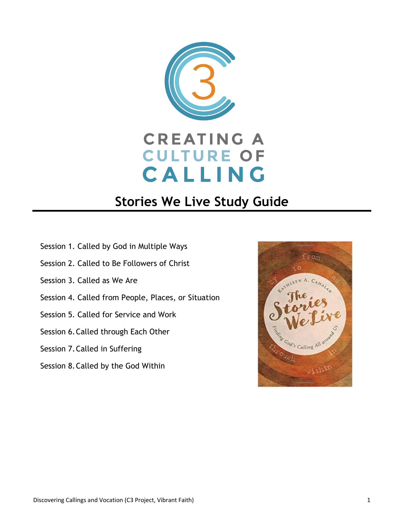

# **Stories We Live Study Guide**

- Session 1. Called by God in Multiple Ways
- Session 2. Called to Be Followers of Christ
- Session 3. Called as We Are
- Session 4. Called from People, Places, or Situation
- Session 5. Called for Service and Work
- Session 6.Called through Each Other
- Session 7.Called in Suffering
- Session 8.Called by the God Within

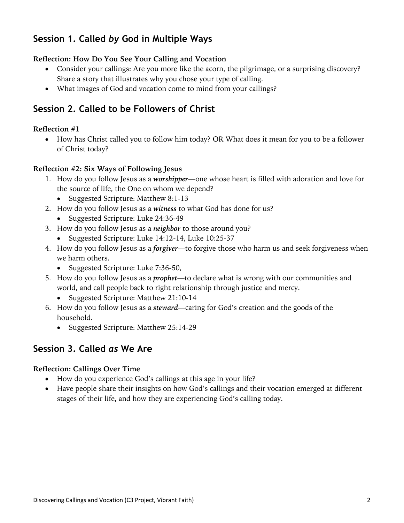# **Session 1. Called** *by* **God in Multiple Ways**

#### **Reflection: How Do You See Your Calling and Vocation**

- Consider your callings: Are you more like the acorn, the pilgrimage, or a surprising discovery? Share a story that illustrates why you chose your type of calling.
- What images of God and vocation come to mind from your callings?

### **Session 2. Called to be Followers of Christ**

#### **Reflection #1**

• How has Christ called you to follow him today? OR What does it mean for you to be a follower of Christ today?

#### **Reflection #2: Six Ways of Following Jesus**

- 1. How do you follow Jesus as a *worshipper*—one whose heart is filled with adoration and love for the source of life, the One on whom we depend?
	- Suggested Scripture: Matthew 8:1-13
- 2. How do you follow Jesus as a *witness* to what God has done for us?
	- Suggested Scripture: Luke 24:36-49
- 3. How do you follow Jesus as a *neighbor* to those around you?
	- Suggested Scripture: Luke 14:12-14, Luke 10:25-37
- 4. How do you follow Jesus as a *forgiver*—to forgive those who harm us and seek forgiveness when we harm others.
	- Suggested Scripture: Luke 7:36-50,
- 5. How do you follow Jesus as a *prophet*—to declare what is wrong with our communities and world, and call people back to right relationship through justice and mercy.
	- Suggested Scripture: Matthew 21:10-14
- 6. How do you follow Jesus as a *steward*—caring for God's creation and the goods of the household.
	- Suggested Scripture: Matthew 25:14-29

### **Session 3. Called** *as* **We Are**

#### **Reflection: Callings Over Time**

- How do you experience God's callings at this age in your life?
- Have people share their insights on how God's callings and their vocation emerged at different stages of their life, and how they are experiencing God's calling today.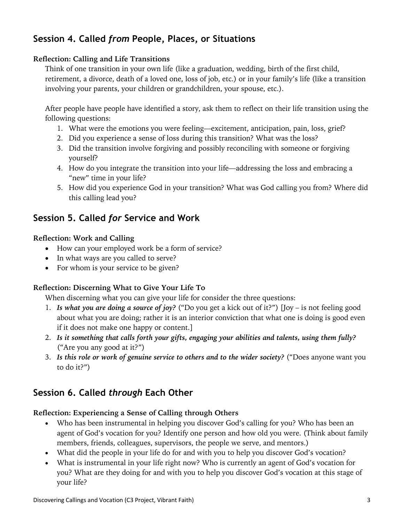# **Session 4. Called** *from* **People, Places, or Situations**

#### **Reflection: Calling and Life Transitions**

Think of one transition in your own life (like a graduation, wedding, birth of the first child, retirement, a divorce, death of a loved one, loss of job, etc.) or in your family's life (like a transition involving your parents, your children or grandchildren, your spouse, etc.).

After people have people have identified a story, ask them to reflect on their life transition using the following questions:

- 1. What were the emotions you were feeling—excitement, anticipation, pain, loss, grief?
- 2. Did you experience a sense of loss during this transition? What was the loss?
- 3. Did the transition involve forgiving and possibly reconciling with someone or forgiving yourself?
- 4. How do you integrate the transition into your life—addressing the loss and embracing a "new" time in your life?
- 5. How did you experience God in your transition? What was God calling you from? Where did this calling lead you?

### **Session 5. Called** *for* **Service and Work**

#### **Reflection: Work and Calling**

- How can your employed work be a form of service?
- In what ways are you called to serve?
- For whom is your service to be given?

#### **Reflection: Discerning What to Give Your Life To**

When discerning what you can give your life for consider the three questions:

- 1. *Is what you are doing a source of joy?* ("Do you get a kick out of it?") [Joy is not feeling good about what you are doing; rather it is an interior conviction that what one is doing is good even if it does not make one happy or content.]
- 2. *Is it something that calls forth your gifts, engaging your abilities and talents, using them fully?* ("Are you any good at it?")
- 3. *Is this role or work of genuine service to others and to the wider society?* ("Does anyone want you to do it?")

### **Session 6. Called** *through* **Each Other**

#### **Reflection: Experiencing a Sense of Calling through Others**

- Who has been instrumental in helping you discover God's calling for you? Who has been an agent of God's vocation for you? Identify one person and how old you were. (Think about family members, friends, colleagues, supervisors, the people we serve, and mentors.)
- What did the people in your life do for and with you to help you discover God's vocation?
- What is instrumental in your life right now? Who is currently an agent of God's vocation for you? What are they doing for and with you to help you discover God's vocation at this stage of your life?